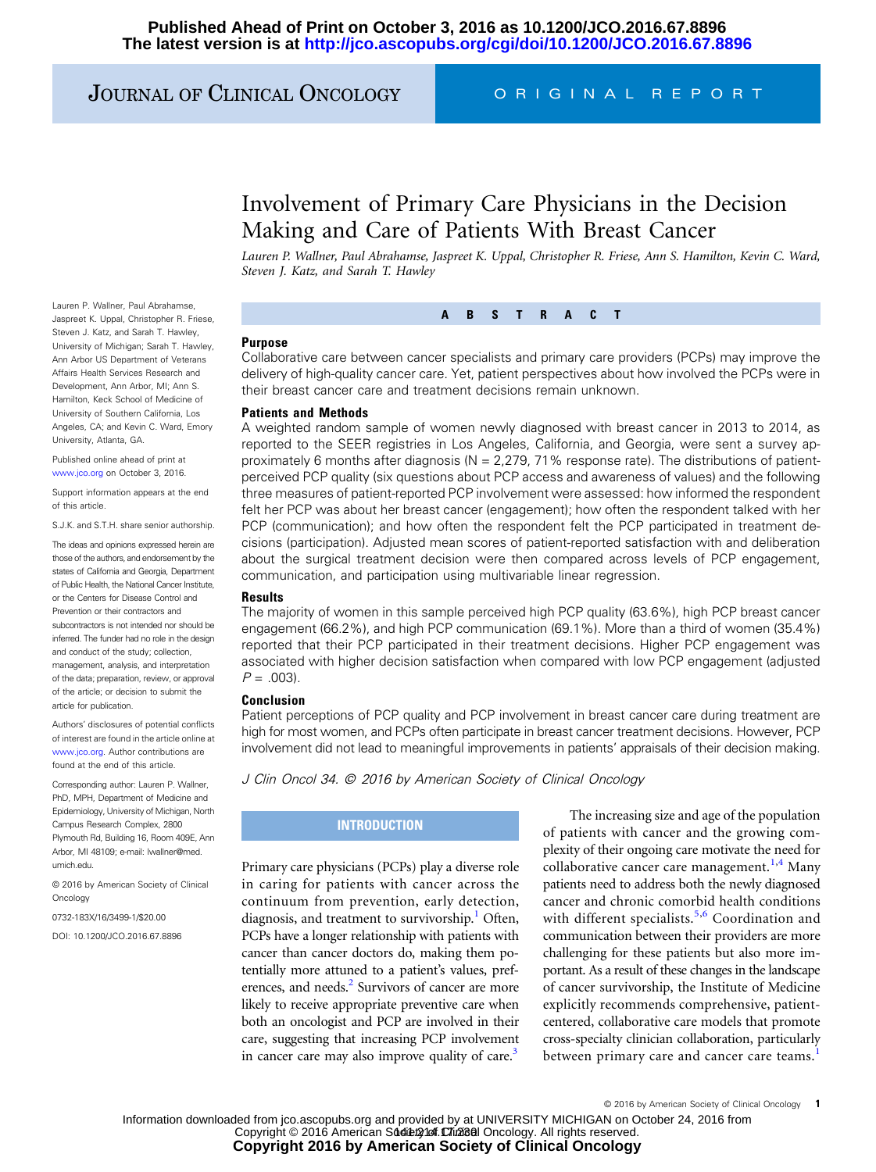# JOURNAL OF CLINICAL ONCOLOGY ORIGINAL REPORT

# Involvement of Primary Care Physicians in the Decision Making and Care of Patients With Breast Cancer

Lauren P. Wallner, Paul Abrahamse, Jaspreet K. Uppal, Christopher R. Friese, Ann S. Hamilton, Kevin C. Ward, Steven J. Katz, and Sarah T. Hawley

ABSTRACT

Lauren P. Wallner, Paul Abrahamse, Jaspreet K. Uppal, Christopher R. Friese, Steven J. Katz, and Sarah T. Hawley, University of Michigan; Sarah T. Hawley, Ann Arbor US Department of Veterans Affairs Health Services Research and Development, Ann Arbor, MI; Ann S. Hamilton, Keck School of Medicine of University of Southern California, Los Angeles, CA; and Kevin C. Ward, Emory University, Atlanta, GA.

Published online ahead of print at [www.jco.org](http://www.jco.org) on October 3, 2016.

Support information appears at the end of this article.

S.J.K. and S.T.H. share senior authorship.

The ideas and opinions expressed herein are those of the authors, and endorsement by the states of California and Georgia, Department of Public Health, the National Cancer Institute, or the Centers for Disease Control and Prevention or their contractors and subcontractors is not intended nor should be inferred. The funder had no role in the design and conduct of the study; collection, management, analysis, and interpretation of the data; preparation, review, or approval of the article; or decision to submit the article for publication.

Authors' disclosures of potential conflicts of interest are found in the article online at [www.jco.org.](http://www.jco.org) Author contributions are found at the end of this article.

Corresponding author: Lauren P. Wallner, PhD, MPH, Department of Medicine and Epidemiology, University of Michigan, North Campus Research Complex, 2800 Plymouth Rd, Building 16, Room 409E, Ann Arbor, MI 48109; e-mail: [lwallner@med.](mailto:lwallner@med.umich.edu) [umich.edu](mailto:lwallner@med.umich.edu).

© 2016 by American Society of Clinical **Oncology** 

0732-183X/16/3499-1/\$20.00

DOI: [10.1200/JCO.2016.67.8896](http://dx.doi.org/10.1200/JCO.2016.67.8896)

# Purpose

Collaborative care between cancer specialists and primary care providers (PCPs) may improve the delivery of high-quality cancer care. Yet, patient perspectives about how involved the PCPs were in their breast cancer care and treatment decisions remain unknown.

# Patients and Methods

A weighted random sample of women newly diagnosed with breast cancer in 2013 to 2014, as reported to the SEER registries in Los Angeles, California, and Georgia, were sent a survey approximately 6 months after diagnosis ( $N = 2,279,71\%$  response rate). The distributions of patientperceived PCP quality (six questions about PCP access and awareness of values) and the following three measures of patient-reported PCP involvement were assessed: how informed the respondent felt her PCP was about her breast cancer (engagement); how often the respondent talked with her PCP (communication); and how often the respondent felt the PCP participated in treatment decisions (participation). Adjusted mean scores of patient-reported satisfaction with and deliberation about the surgical treatment decision were then compared across levels of PCP engagement, communication, and participation using multivariable linear regression.

# **Results**

The majority of women in this sample perceived high PCP quality (63.6%), high PCP breast cancer engagement (66.2%), and high PCP communication (69.1%). More than a third of women (35.4%) reported that their PCP participated in their treatment decisions. Higher PCP engagement was associated with higher decision satisfaction when compared with low PCP engagement (adjusted  $P = .003$ ).

# Conclusion

Patient perceptions of PCP quality and PCP involvement in breast cancer care during treatment are high for most women, and PCPs often participate in breast cancer treatment decisions. However, PCP involvement did not lead to meaningful improvements in patients' appraisals of their decision making.

J Clin Oncol 34. © 2016 by American Society of Clinical Oncology

# **INTRODUCTION**

Primary care physicians (PCPs) play a diverse role in caring for patients with cancer across the continuum from prevention, early detection, diagnosis, and treatment to survivorship.<sup>[1](#page-6-0)</sup> Often, PCPs have a longer relationship with patients with cancer than cancer doctors do, making them potentially more attuned to a patient's values, pref-erences, and needs.<sup>[2](#page-6-0)</sup> Survivors of cancer are more likely to receive appropriate preventive care when both an oncologist and PCP are involved in their care, suggesting that increasing PCP involvement in cancer care may also improve quality of care.<sup>3</sup>

The increasing size and age of the population of patients with cancer and the growing complexity of their ongoing care motivate the need for collaborative cancer care management.<sup>[1](#page-6-0),[4](#page-6-0)</sup> Many patients need to address both the newly diagnosed cancer and chronic comorbid health conditions with different specialists.<sup>[5,6](#page-6-0)</sup> Coordination and communication between their providers are more challenging for these patients but also more important. As a result of these changes in the landscape of cancer survivorship, the Institute of Medicine explicitly recommends comprehensive, patientcentered, collaborative care models that promote cross-specialty clinician collaboration, particularly between primary care and cancer care teams.<sup>[1](#page-6-0)</sup>

© 2016 by American Society of Clinical Oncology 1

**Copyright 2016 by American Society of Clinical Oncology**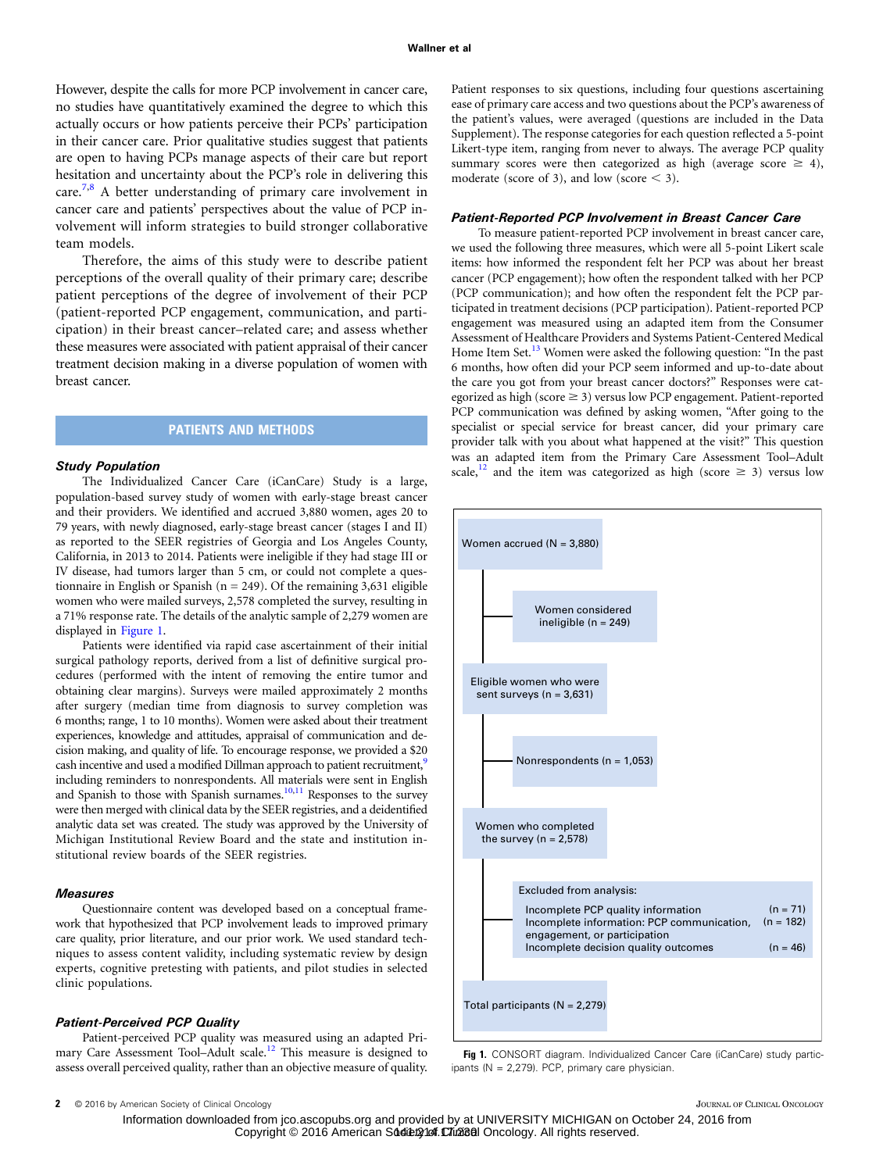However, despite the calls for more PCP involvement in cancer care, no studies have quantitatively examined the degree to which this actually occurs or how patients perceive their PCPs' participation in their cancer care. Prior qualitative studies suggest that patients are open to having PCPs manage aspects of their care but report hesitation and uncertainty about the PCP's role in delivering this care.<sup>[7](#page-6-0),[8](#page-6-0)</sup> A better understanding of primary care involvement in cancer care and patients' perspectives about the value of PCP involvement will inform strategies to build stronger collaborative team models.

Therefore, the aims of this study were to describe patient perceptions of the overall quality of their primary care; describe patient perceptions of the degree of involvement of their PCP (patient-reported PCP engagement, communication, and participation) in their breast cancer–related care; and assess whether these measures were associated with patient appraisal of their cancer treatment decision making in a diverse population of women with breast cancer.

# PATIENTS AND METHODS

#### Study Population

The Individualized Cancer Care (iCanCare) Study is a large, population-based survey study of women with early-stage breast cancer and their providers. We identified and accrued 3,880 women, ages 20 to 79 years, with newly diagnosed, early-stage breast cancer (stages I and II) as reported to the SEER registries of Georgia and Los Angeles County, California, in 2013 to 2014. Patients were ineligible if they had stage III or IV disease, had tumors larger than 5 cm, or could not complete a questionnaire in English or Spanish ( $n = 249$ ). Of the remaining 3,631 eligible women who were mailed surveys, 2,578 completed the survey, resulting in a 71% response rate. The details of the analytic sample of 2,279 women are displayed in Figure 1.

Patients were identified via rapid case ascertainment of their initial surgical pathology reports, derived from a list of definitive surgical procedures (performed with the intent of removing the entire tumor and obtaining clear margins). Surveys were mailed approximately 2 months after surgery (median time from diagnosis to survey completion was 6 months; range, 1 to 10 months). Women were asked about their treatment experiences, knowledge and attitudes, appraisal of communication and decision making, and quality of life. To encourage response, we provided a \$20 cash incentive and used a modified Dillman approach to patient recruitment,<sup>[9](#page-6-0)</sup> including reminders to nonrespondents. All materials were sent in English and Spanish to those with Spanish surnames.<sup>[10](#page-6-0),[11](#page-6-0)</sup> Responses to the survey were then merged with clinical data by the SEER registries, and a deidentified analytic data set was created. The study was approved by the University of Michigan Institutional Review Board and the state and institution institutional review boards of the SEER registries.

#### Measures

Questionnaire content was developed based on a conceptual framework that hypothesized that PCP involvement leads to improved primary care quality, prior literature, and our prior work. We used standard techniques to assess content validity, including systematic review by design experts, cognitive pretesting with patients, and pilot studies in selected clinic populations.

#### Patient-Perceived PCP Quality

Patient-perceived PCP quality was measured using an adapted Pri-mary Care Assessment Tool–Adult scale.<sup>[12](#page-6-0)</sup> This measure is designed to assess overall perceived quality, rather than an objective measure of quality. Patient responses to six questions, including four questions ascertaining ease of primary care access and two questions about the PCP's awareness of the patient's values, were averaged (questions are included in the Data Supplement). The response categories for each question reflected a 5-point Likert-type item, ranging from never to always. The average PCP quality summary scores were then categorized as high (average score  $\geq$  4), moderate (score of 3), and low (score  $\leq$  3).

#### Patient-Reported PCP Involvement in Breast Cancer Care

To measure patient-reported PCP involvement in breast cancer care, we used the following three measures, which were all 5-point Likert scale items: how informed the respondent felt her PCP was about her breast cancer (PCP engagement); how often the respondent talked with her PCP (PCP communication); and how often the respondent felt the PCP participated in treatment decisions (PCP participation). Patient-reported PCP engagement was measured using an adapted item from the Consumer Assessment of Healthcare Providers and Systems Patient-Centered Medical Home Item Set.<sup>[13](#page-6-0)</sup> Women were asked the following question: "In the past 6 months, how often did your PCP seem informed and up-to-date about the care you got from your breast cancer doctors?" Responses were categorized as high (score  $\geq$  3) versus low PCP engagement. Patient-reported PCP communication was defined by asking women, "After going to the specialist or special service for breast cancer, did your primary care provider talk with you about what happened at the visit?" This question was an adapted item from the Primary Care Assessment Tool–Adult scale,<sup>[12](#page-6-0)</sup> and the item was categorized as high (score  $\geq$  3) versus low



Fig 1. CONSORT diagram. Individualized Cancer Care (iCanCare) study participants (N = 2,279). PCP, primary care physician.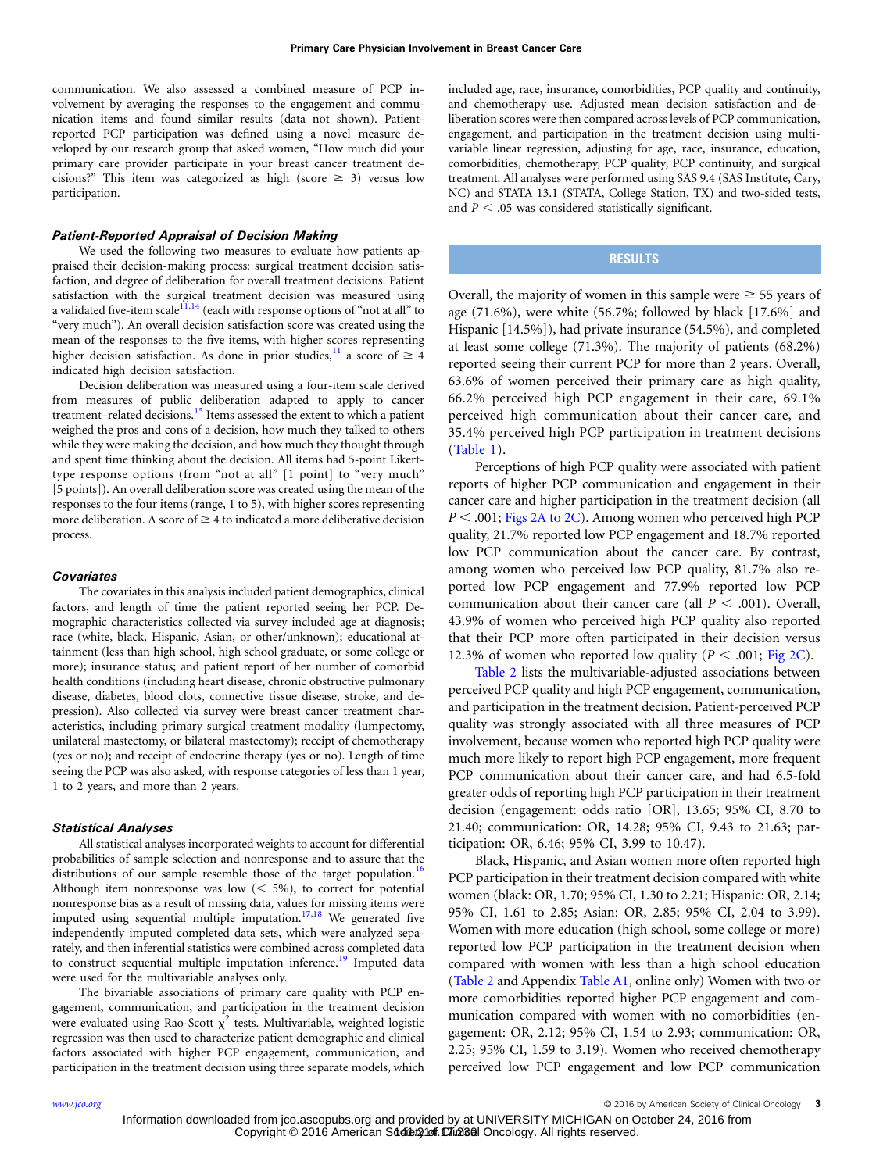communication. We also assessed a combined measure of PCP involvement by averaging the responses to the engagement and communication items and found similar results (data not shown). Patientreported PCP participation was defined using a novel measure developed by our research group that asked women, "How much did your primary care provider participate in your breast cancer treatment decisions?" This item was categorized as high (score  $\geq$  3) versus low participation.

#### Patient-Reported Appraisal of Decision Making

We used the following two measures to evaluate how patients appraised their decision-making process: surgical treatment decision satisfaction, and degree of deliberation for overall treatment decisions. Patient satisfaction with the surgical treatment decision was measured using a validated five-item scale<sup>[11,14](#page-6-0)</sup> (each with response options of "not at all" to "very much"). An overall decision satisfaction score was created using the mean of the responses to the five items, with higher scores representing higher decision satisfaction. As done in prior studies,  $\frac{11}{4}$  $\frac{11}{4}$  $\frac{11}{4}$  a score of  $\geq 4$ indicated high decision satisfaction.

Decision deliberation was measured using a four-item scale derived from measures of public deliberation adapted to apply to cancer treatment–related decisions.<sup>[15](#page-6-0)</sup> Items assessed the extent to which a patient weighed the pros and cons of a decision, how much they talked to others while they were making the decision, and how much they thought through and spent time thinking about the decision. All items had 5-point Likerttype response options (from "not at all" [1 point] to "very much" [5 points]). An overall deliberation score was created using the mean of the responses to the four items (range, 1 to 5), with higher scores representing more deliberation. A score of  $\geq 4$  to indicated a more deliberative decision process.

#### **Covariates**

The covariates in this analysis included patient demographics, clinical factors, and length of time the patient reported seeing her PCP. Demographic characteristics collected via survey included age at diagnosis; race (white, black, Hispanic, Asian, or other/unknown); educational attainment (less than high school, high school graduate, or some college or more); insurance status; and patient report of her number of comorbid health conditions (including heart disease, chronic obstructive pulmonary disease, diabetes, blood clots, connective tissue disease, stroke, and depression). Also collected via survey were breast cancer treatment characteristics, including primary surgical treatment modality (lumpectomy, unilateral mastectomy, or bilateral mastectomy); receipt of chemotherapy (yes or no); and receipt of endocrine therapy (yes or no). Length of time seeing the PCP was also asked, with response categories of less than 1 year, 1 to 2 years, and more than 2 years.

#### Statistical Analyses

All statistical analyses incorporated weights to account for differential probabilities of sample selection and nonresponse and to assure that the distributions of our sample resemble those of the target population.<sup>[16](#page-6-0)</sup> Although item nonresponse was low  $(< 5\%)$ , to correct for potential nonresponse bias as a result of missing data, values for missing items were imputed using sequential multiple imputation. $17,18$  We generated five independently imputed completed data sets, which were analyzed separately, and then inferential statistics were combined across completed data to construct sequential multiple imputation inference.<sup>[19](#page-6-0)</sup> Imputed data were used for the multivariable analyses only.

The bivariable associations of primary care quality with PCP engagement, communication, and participation in the treatment decision were evaluated using Rao-Scott  $\chi^2$  tests. Multivariable, weighted logistic regression was then used to characterize patient demographic and clinical factors associated with higher PCP engagement, communication, and participation in the treatment decision using three separate models, which

included age, race, insurance, comorbidities, PCP quality and continuity, and chemotherapy use. Adjusted mean decision satisfaction and deliberation scores were then compared across levels of PCP communication, engagement, and participation in the treatment decision using multivariable linear regression, adjusting for age, race, insurance, education, comorbidities, chemotherapy, PCP quality, PCP continuity, and surgical treatment. All analyses were performed using SAS 9.4 (SAS Institute, Cary, NC) and STATA 13.1 (STATA, College Station, TX) and two-sided tests, and  $P < .05$  was considered statistically significant.

# **RESULTS**

Overall, the majority of women in this sample were  $\geq$  55 years of age (71.6%), were white (56.7%; followed by black [17.6%] and Hispanic [14.5%]), had private insurance (54.5%), and completed at least some college (71.3%). The majority of patients (68.2%) reported seeing their current PCP for more than 2 years. Overall, 63.6% of women perceived their primary care as high quality, 66.2% perceived high PCP engagement in their care, 69.1% perceived high communication about their cancer care, and 35.4% perceived high PCP participation in treatment decisions ([Table 1](#page-3-0)).

Perceptions of high PCP quality were associated with patient reports of higher PCP communication and engagement in their cancer care and higher participation in the treatment decision (all  $P < .001$ ; [Figs 2A to 2C\)](#page-4-0). Among women who perceived high PCP quality, 21.7% reported low PCP engagement and 18.7% reported low PCP communication about the cancer care. By contrast, among women who perceived low PCP quality, 81.7% also reported low PCP engagement and 77.9% reported low PCP communication about their cancer care (all  $P < .001$ ). Overall, 43.9% of women who perceived high PCP quality also reported that their PCP more often participated in their decision versus 12.3% of women who reported low quality ( $P < .001$ ; [Fig 2C\)](#page-4-0).

[Table 2](#page-5-0) lists the multivariable-adjusted associations between perceived PCP quality and high PCP engagement, communication, and participation in the treatment decision. Patient-perceived PCP quality was strongly associated with all three measures of PCP involvement, because women who reported high PCP quality were much more likely to report high PCP engagement, more frequent PCP communication about their cancer care, and had 6.5-fold greater odds of reporting high PCP participation in their treatment decision (engagement: odds ratio [OR], 13.65; 95% CI, 8.70 to 21.40; communication: OR, 14.28; 95% CI, 9.43 to 21.63; participation: OR, 6.46; 95% CI, 3.99 to 10.47).

Black, Hispanic, and Asian women more often reported high PCP participation in their treatment decision compared with white women (black: OR, 1.70; 95% CI, 1.30 to 2.21; Hispanic: OR, 2.14; 95% CI, 1.61 to 2.85; Asian: OR, 2.85; 95% CI, 2.04 to 3.99). Women with more education (high school, some college or more) reported low PCP participation in the treatment decision when compared with women with less than a high school education ([Table 2](#page-5-0) and Appendix [Table A1,](#page-8-0) online only) Women with two or more comorbidities reported higher PCP engagement and communication compared with women with no comorbidities (engagement: OR, 2.12; 95% CI, 1.54 to 2.93; communication: OR, 2.25; 95% CI, 1.59 to 3.19). Women who received chemotherapy perceived low PCP engagement and low PCP communication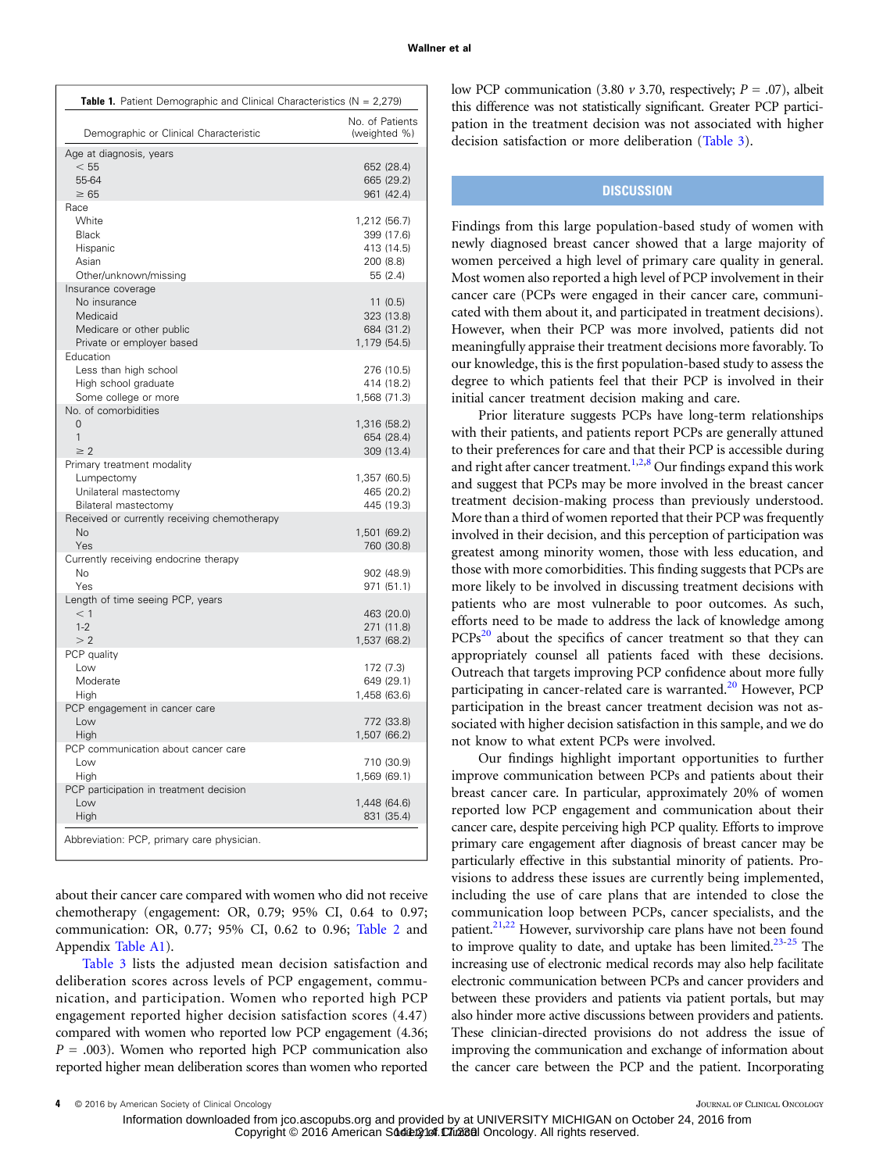<span id="page-3-0"></span>

| <b>Table 1.</b> Patient Demographic and Clinical Characteristics ( $N = 2,279$ )                        |                                                                   |  |  |
|---------------------------------------------------------------------------------------------------------|-------------------------------------------------------------------|--|--|
| Demographic or Clinical Characteristic                                                                  | No. of Patients<br>(weighted %)                                   |  |  |
| Age at diagnosis, years<br>< 55<br>55-64<br>$\geq 65$                                                   | 652 (28.4)<br>665 (29.2)<br>961 (42.4)                            |  |  |
| Race<br>White<br>Black<br>Hispanic<br>Asian<br>Other/unknown/missing                                    | 1,212 (56.7)<br>399 (17.6)<br>413 (14.5)<br>200 (8.8)<br>55 (2.4) |  |  |
| Insurance coverage<br>No insurance<br>Medicaid<br>Medicare or other public<br>Private or employer based | 11(0.5)<br>323 (13.8)<br>684 (31.2)<br>1,179 (54.5)               |  |  |
| Education<br>Less than high school<br>High school graduate<br>Some college or more                      | 276 (10.5)<br>414 (18.2)<br>1,568 (71.3)                          |  |  |
| No. of comorbidities<br>$\Omega$<br>1<br>$\geq 2$                                                       | 1,316 (58.2)<br>654 (28.4)<br>309 (13.4)                          |  |  |
| Primary treatment modality<br>Lumpectomy<br>Unilateral mastectomy<br>Bilateral mastectomy               | 1,357 (60.5)<br>465 (20.2)<br>445 (19.3)                          |  |  |
| Received or currently receiving chemotherapy<br>Nο<br>Yes                                               | 1,501 (69.2)<br>760 (30.8)                                        |  |  |
| Currently receiving endocrine therapy<br>No<br>Yes                                                      | 902 (48.9)<br>971 (51.1)                                          |  |  |
| Length of time seeing PCP, years<br>$<$ 1<br>$1 - 2$<br>>2                                              | 463 (20.0)<br>271 (11.8)<br>1,537 (68.2)                          |  |  |
| PCP quality<br>Low<br>Moderate<br>High                                                                  | 172 (7.3)<br>649 (29.1)<br>1,458 (63.6)                           |  |  |
| PCP engagement in cancer care<br>Low<br>High                                                            | 772 (33.8)<br>1,507 (66.2)                                        |  |  |
| PCP communication about cancer care<br>Low<br>High                                                      | 710 (30.9)<br>1,569 (69.1)                                        |  |  |
| PCP participation in treatment decision<br>Low<br>High                                                  | 1,448 (64.6)<br>831 (35.4)                                        |  |  |
| Abbreviation: PCP, primary care physician.                                                              |                                                                   |  |  |

about their cancer care compared with women who did not receive chemotherapy (engagement: OR, 0.79; 95% CI, 0.64 to 0.97; communication: OR, 0.77; 95% CI, 0.62 to 0.96; [Table 2](#page-5-0) and Appendix [Table A1\)](#page-8-0).

[Table 3](#page-5-0) lists the adjusted mean decision satisfaction and deliberation scores across levels of PCP engagement, communication, and participation. Women who reported high PCP engagement reported higher decision satisfaction scores (4.47) compared with women who reported low PCP engagement (4.36;  $P = .003$ ). Women who reported high PCP communication also reported higher mean deliberation scores than women who reported low PCP communication (3.80  $\nu$  3.70, respectively;  $P = .07$ ), albeit this difference was not statistically significant. Greater PCP participation in the treatment decision was not associated with higher decision satisfaction or more deliberation [\(Table 3](#page-5-0)).

# **DISCUSSION**

Findings from this large population-based study of women with newly diagnosed breast cancer showed that a large majority of women perceived a high level of primary care quality in general. Most women also reported a high level of PCP involvement in their cancer care (PCPs were engaged in their cancer care, communicated with them about it, and participated in treatment decisions). However, when their PCP was more involved, patients did not meaningfully appraise their treatment decisions more favorably. To our knowledge, this is the first population-based study to assess the degree to which patients feel that their PCP is involved in their initial cancer treatment decision making and care.

Prior literature suggests PCPs have long-term relationships with their patients, and patients report PCPs are generally attuned to their preferences for care and that their PCP is accessible during and right after cancer treatment.<sup>[1,2,8](#page-6-0)</sup> Our findings expand this work and suggest that PCPs may be more involved in the breast cancer treatment decision-making process than previously understood. More than a third of women reported that their PCP was frequently involved in their decision, and this perception of participation was greatest among minority women, those with less education, and those with more comorbidities. This finding suggests that PCPs are more likely to be involved in discussing treatment decisions with patients who are most vulnerable to poor outcomes. As such, efforts need to be made to address the lack of knowledge among  $PCPs<sup>20</sup>$  $PCPs<sup>20</sup>$  $PCPs<sup>20</sup>$  about the specifics of cancer treatment so that they can appropriately counsel all patients faced with these decisions. Outreach that targets improving PCP confidence about more fully participating in cancer-related care is warranted. $^{20}$  $^{20}$  $^{20}$  However, PCP participation in the breast cancer treatment decision was not associated with higher decision satisfaction in this sample, and we do not know to what extent PCPs were involved.

Our findings highlight important opportunities to further improve communication between PCPs and patients about their breast cancer care. In particular, approximately 20% of women reported low PCP engagement and communication about their cancer care, despite perceiving high PCP quality. Efforts to improve primary care engagement after diagnosis of breast cancer may be particularly effective in this substantial minority of patients. Provisions to address these issues are currently being implemented, including the use of care plans that are intended to close the communication loop between PCPs, cancer specialists, and the patient. $2^{1,22}$  However, survivorship care plans have not been found to improve quality to date, and uptake has been limited. $23-25$  $23-25$  $23-25$  The increasing use of electronic medical records may also help facilitate electronic communication between PCPs and cancer providers and between these providers and patients via patient portals, but may also hinder more active discussions between providers and patients. These clinician-directed provisions do not address the issue of improving the communication and exchange of information about the cancer care between the PCP and the patient. Incorporating

<sup>4</sup> © 2016 by American Society of Clinical Oncology JOURNAL OF CLINICAL ONCOLOGY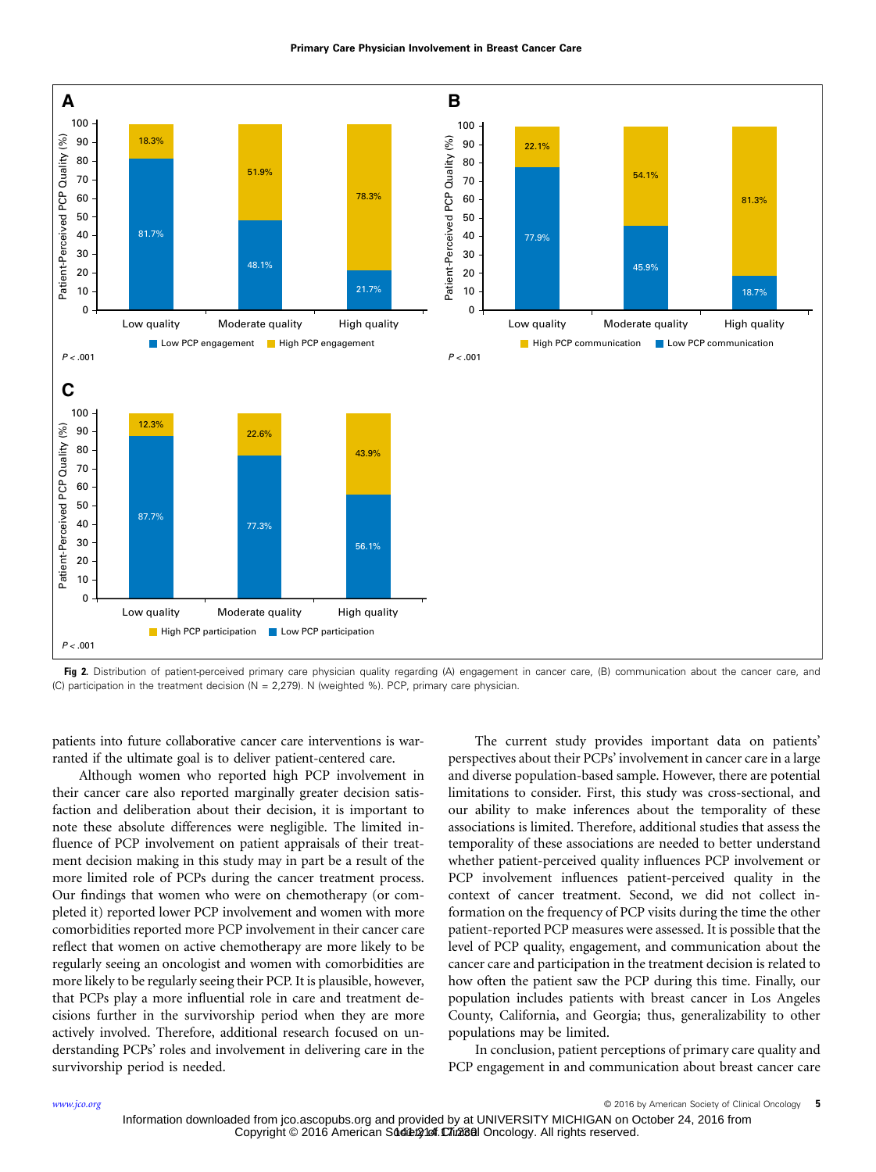<span id="page-4-0"></span>

Fig 2. Distribution of patient-perceived primary care physician quality regarding (A) engagement in cancer care, (B) communication about the cancer care, and (C) participation in the treatment decision (N = 2,279). N (weighted %). PCP, primary care physician.

patients into future collaborative cancer care interventions is warranted if the ultimate goal is to deliver patient-centered care.

Although women who reported high PCP involvement in their cancer care also reported marginally greater decision satisfaction and deliberation about their decision, it is important to note these absolute differences were negligible. The limited influence of PCP involvement on patient appraisals of their treatment decision making in this study may in part be a result of the more limited role of PCPs during the cancer treatment process. Our findings that women who were on chemotherapy (or completed it) reported lower PCP involvement and women with more comorbidities reported more PCP involvement in their cancer care reflect that women on active chemotherapy are more likely to be regularly seeing an oncologist and women with comorbidities are more likely to be regularly seeing their PCP. It is plausible, however, that PCPs play a more influential role in care and treatment decisions further in the survivorship period when they are more actively involved. Therefore, additional research focused on understanding PCPs' roles and involvement in delivering care in the survivorship period is needed.

The current study provides important data on patients' perspectives about their PCPs' involvement in cancer care in a large and diverse population-based sample. However, there are potential limitations to consider. First, this study was cross-sectional, and our ability to make inferences about the temporality of these associations is limited. Therefore, additional studies that assess the temporality of these associations are needed to better understand whether patient-perceived quality influences PCP involvement or PCP involvement influences patient-perceived quality in the context of cancer treatment. Second, we did not collect information on the frequency of PCP visits during the time the other patient-reported PCP measures were assessed. It is possible that the level of PCP quality, engagement, and communication about the cancer care and participation in the treatment decision is related to how often the patient saw the PCP during this time. Finally, our population includes patients with breast cancer in Los Angeles County, California, and Georgia; thus, generalizability to other populations may be limited.

In conclusion, patient perceptions of primary care quality and PCP engagement in and communication about breast cancer care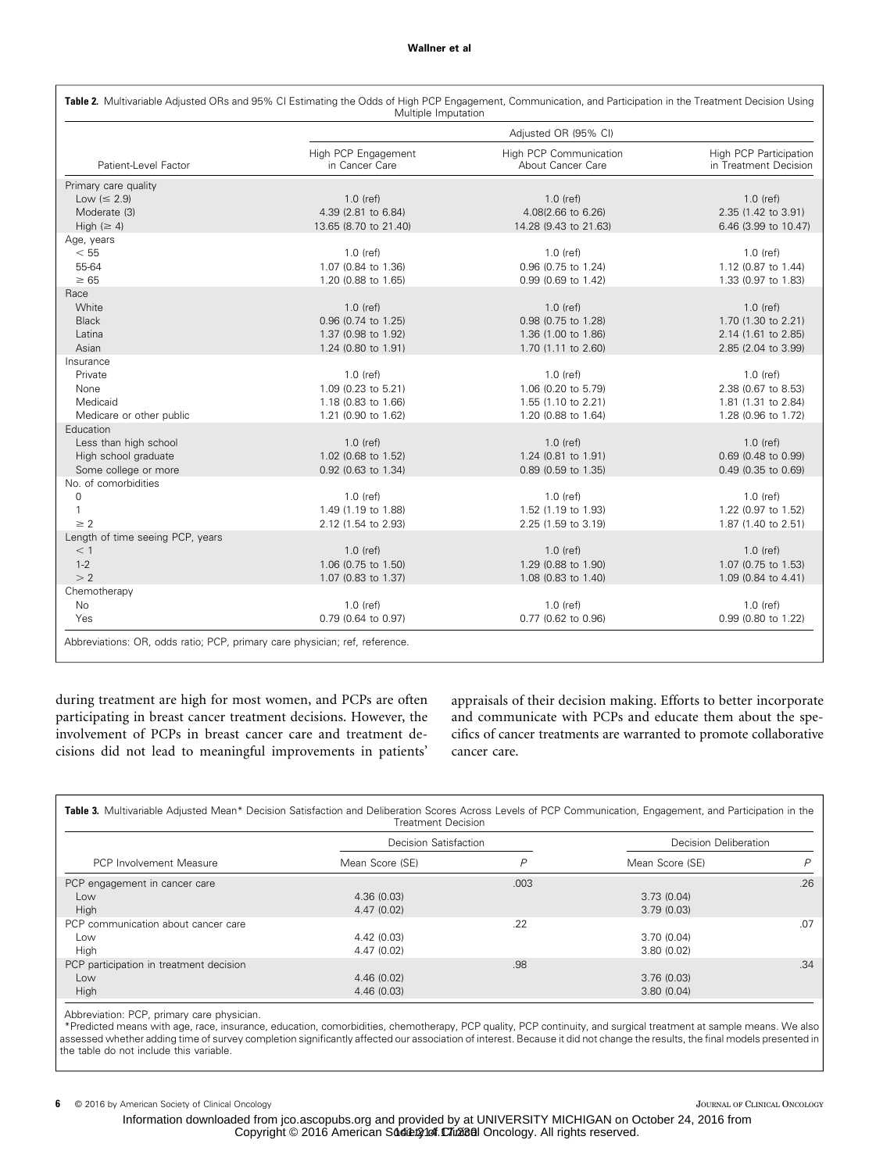|                                  | Adjusted OR (95% CI)                       |                                             |                                                 |  |  |  |
|----------------------------------|--------------------------------------------|---------------------------------------------|-------------------------------------------------|--|--|--|
| Patient-Level Factor             | High PCP Engagement<br>in Cancer Care      | High PCP Communication<br>About Cancer Care | High PCP Participation<br>in Treatment Decision |  |  |  |
| Primary care quality             |                                            |                                             |                                                 |  |  |  |
| Low $(\leq 2.9)$                 | $1.0$ (ref)                                | $1.0$ (ref)                                 | $1.0$ (ref)                                     |  |  |  |
| Moderate (3)                     | 4.39 (2.81 to 6.84)                        | 4.08(2.66 to 6.26)                          | 2.35 (1.42 to 3.91)                             |  |  |  |
| High $(\geq 4)$                  | 13.65 (8.70 to 21.40)                      | 14.28 (9.43 to 21.63)                       | 6.46 (3.99 to 10.47)                            |  |  |  |
| Age, years                       |                                            |                                             |                                                 |  |  |  |
| < 55                             | $1.0$ (ref)                                | $1.0$ (ref)                                 | $1.0$ (ref)                                     |  |  |  |
| 55-64                            | 1.07 (0.84 to 1.36)                        | 0.96 (0.75 to 1.24)                         | 1.12 (0.87 to 1.44)                             |  |  |  |
| $\geq 65$                        | 1.20 (0.88 to 1.65)                        | 0.99 (0.69 to 1.42)                         | 1.33 (0.97 to 1.83)                             |  |  |  |
| Race                             |                                            |                                             |                                                 |  |  |  |
| White                            | $1.0$ (ref)                                | $1.0$ (ref)                                 | $1.0$ (ref)                                     |  |  |  |
| <b>Black</b>                     | 0.96 (0.74 to 1.25)                        | 0.98 (0.75 to 1.28)                         | 1.70 (1.30 to 2.21)                             |  |  |  |
| Latina                           | 1.37 (0.98 to 1.92)                        | 1.36 (1.00 to 1.86)                         | 2.14 (1.61 to 2.85)                             |  |  |  |
| Asian                            | 1.24 (0.80 to 1.91)                        | 1.70 (1.11 to 2.60)                         | 2.85 (2.04 to 3.99)                             |  |  |  |
| Insurance                        |                                            |                                             |                                                 |  |  |  |
| Private                          | $1.0$ (ref)                                | $1.0$ (ref)                                 | $1.0$ (ref)                                     |  |  |  |
| None<br>Medicaid                 | 1.09 (0.23 to 5.21)<br>1.18 (0.83 to 1.66) | 1.06 (0.20 to 5.79)                         | 2.38 (0.67 to 8.53)<br>1.81 (1.31 to 2.84)      |  |  |  |
| Medicare or other public         | 1.21 (0.90 to 1.62)                        | 1.55 (1.10 to 2.21)<br>1.20 (0.88 to 1.64)  | 1.28 (0.96 to 1.72)                             |  |  |  |
| Education                        |                                            |                                             |                                                 |  |  |  |
| Less than high school            | $1.0$ (ref)                                | $1.0$ (ref)                                 | $1.0$ (ref)                                     |  |  |  |
| High school graduate             | 1.02 (0.68 to 1.52)                        | 1.24 (0.81 to 1.91)                         | 0.69 (0.48 to 0.99)                             |  |  |  |
| Some college or more             | 0.92 (0.63 to 1.34)                        | 0.89 (0.59 to 1.35)                         | 0.49 (0.35 to 0.69)                             |  |  |  |
| No. of comorbidities             |                                            |                                             |                                                 |  |  |  |
| $\mathbf 0$                      | $1.0$ (ref)                                | $1.0$ (ref)                                 | $1.0$ (ref)                                     |  |  |  |
| $\mathbf{1}$                     | 1.49 (1.19 to 1.88)                        | 1.52 (1.19 to 1.93)                         | 1.22 (0.97 to 1.52)                             |  |  |  |
| $\geq 2$                         | 2.12 (1.54 to 2.93)                        | 2.25 (1.59 to 3.19)                         | 1.87 (1.40 to 2.51)                             |  |  |  |
| Length of time seeing PCP, years |                                            |                                             |                                                 |  |  |  |
| $<$ 1                            | $1.0$ (ref)                                | $1.0$ (ref)                                 | $1.0$ (ref)                                     |  |  |  |
| $1 - 2$                          | 1.06 (0.75 to 1.50)                        | 1.29 (0.88 to 1.90)                         | 1.07 (0.75 to 1.53)                             |  |  |  |
| > 2                              | 1.07 (0.83 to 1.37)                        | 1.08 (0.83 to 1.40)                         | 1.09 (0.84 to 4.41)                             |  |  |  |
| Chemotherapy                     |                                            |                                             |                                                 |  |  |  |
| No                               | $1.0$ (ref)                                | $1.0$ (ref)                                 | $1.0$ (ref)                                     |  |  |  |
| Yes                              | 0.79 (0.64 to 0.97)                        | 0.77 (0.62 to 0.96)                         | 0.99 (0.80 to 1.22)                             |  |  |  |

<span id="page-5-0"></span>Table 2. Multivariable Adjusted ORs and 95% CLEstimation the Odds of High PCP Engagement, Communication, and Participation in the

during treatment are high for most women, and PCPs are often participating in breast cancer treatment decisions. However, the involvement of PCPs in breast cancer care and treatment decisions did not lead to meaningful improvements in patients'

appraisals of their decision making. Efforts to better incorporate and communicate with PCPs and educate them about the specifics of cancer treatments are warranted to promote collaborative cancer care.

| Table 3. Multivariable Adjusted Mean* Decision Satisfaction and Deliberation Scores Across Levels of PCP Communication, Engagement, and Participation in the |  |                    |  |  |  |
|--------------------------------------------------------------------------------------------------------------------------------------------------------------|--|--------------------|--|--|--|
|                                                                                                                                                              |  | Treatment Decision |  |  |  |

|                                         | Decision Satisfaction |      | Decision Deliberation |     |  |
|-----------------------------------------|-----------------------|------|-----------------------|-----|--|
| <b>PCP Involvement Measure</b>          | Mean Score (SE)       | D    | Mean Score (SE)       |     |  |
| PCP engagement in cancer care           |                       | .003 |                       | .26 |  |
| Low                                     | 4.36(0.03)            |      | 3.73(0.04)            |     |  |
| High                                    | 4.47(0.02)            |      | 3.79(0.03)            |     |  |
| PCP communication about cancer care     |                       | .22  |                       | .07 |  |
| Low                                     | 4.42(0.03)            |      | 3.70(0.04)            |     |  |
| High                                    | 4.47(0.02)            |      | 3.80(0.02)            |     |  |
| PCP participation in treatment decision |                       | .98  |                       | .34 |  |
| Low                                     | 4.46 (0.02)           |      | 3.76(0.03)            |     |  |
| High                                    | 4.46(0.03)            |      | 3.80(0.04)            |     |  |
|                                         |                       |      |                       |     |  |

Abbreviation: PCP, primary care physician.

\*Predicted means with age, race, insurance, education, comorbidities, chemotherapy, PCP quality, PCP continuity, and surgical treatment at sample means. We also assessed whether adding time of survey completion significantly affected our association of interest. Because it did not change the results, the final models presented in the table do not include this variable.

6 © 2016 by American Society of Clinical Oncology JOURNAL OF CLINICAL ONCOLOGY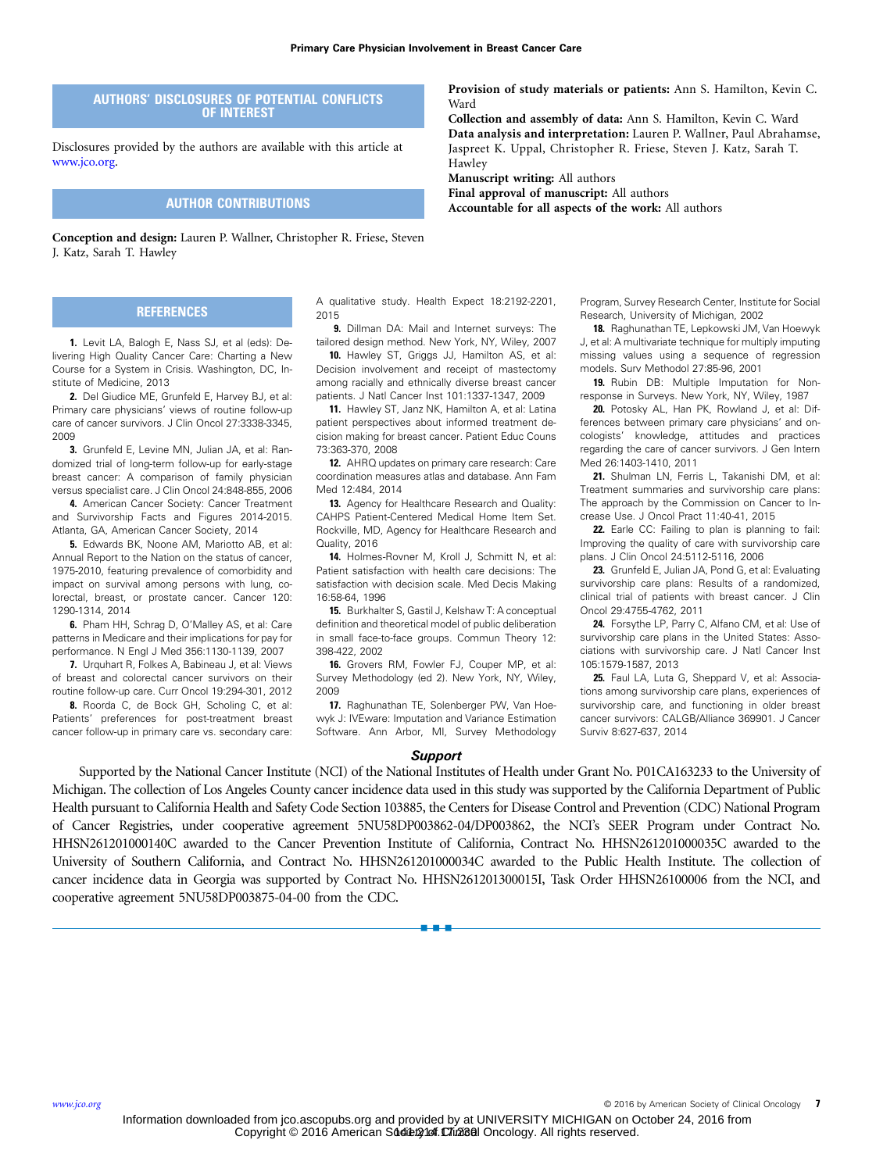Ward

Hawley

Manuscript writing: All authors

Final approval of manuscript: All authors Accountable for all aspects of the work: All authors

## <span id="page-6-0"></span>AUTHORS' DISCLOSURES OF POTENTIAL CONFLICTS OF INTEREST

Disclosures provided by the authors are available with this article at [www.jco.org.](http://www.jco.org)

# AUTHOR CONTRIBUTIONS

Conception and design: Lauren P. Wallner, Christopher R. Friese, Steven J. Katz, Sarah T. Hawley

# **REFERENCES**

1. Levit LA, Balogh E, Nass SJ, et al (eds): Delivering High Quality Cancer Care: Charting a New Course for a System in Crisis. Washington, DC, Institute of Medicine, 2013

2. Del Giudice ME, Grunfeld E, Harvey BJ, et al: Primary care physicians' views of routine follow-up care of cancer survivors. J Clin Oncol 27:3338-3345, 2009

3. Grunfeld E, Levine MN, Julian JA, et al: Randomized trial of long-term follow-up for early-stage breast cancer: A comparison of family physician versus specialist care. J Clin Oncol 24:848-855, 2006

4. American Cancer Society: Cancer Treatment and Survivorship Facts and Figures 2014-2015. Atlanta, GA, American Cancer Society, 2014

5. Edwards BK, Noone AM, Mariotto AB, et al: Annual Report to the Nation on the status of cancer, 1975-2010, featuring prevalence of comorbidity and impact on survival among persons with lung, colorectal, breast, or prostate cancer. Cancer 120: 1290-1314, 2014

6. Pham HH, Schrag D, O'Malley AS, et al: Care patterns in Medicare and their implications for pay for performance. N Engl J Med 356:1130-1139, 2007

7. Urquhart R, Folkes A, Babineau J, et al: Views of breast and colorectal cancer survivors on their routine follow-up care. Curr Oncol 19:294-301, 2012

8. Roorda C, de Bock GH, Scholing C, et al: Patients' preferences for post-treatment breast cancer follow-up in primary care vs. secondary care: A qualitative study. Health Expect 18:2192-2201, 2015

9. Dillman DA: Mail and Internet surveys: The tailored design method. New York, NY, Wiley, 2007

10. Hawley ST, Griggs JJ, Hamilton AS, et al: Decision involvement and receipt of mastectomy among racially and ethnically diverse breast cancer patients. J Natl Cancer Inst 101:1337-1347, 2009

11. Hawley ST, Janz NK, Hamilton A, et al: Latina patient perspectives about informed treatment decision making for breast cancer. Patient Educ Couns 73:363-370, 2008

12. AHRQ updates on primary care research: Care coordination measures atlas and database. Ann Fam Med 12:484, 2014

13. Agency for Healthcare Research and Quality: CAHPS Patient-Centered Medical Home Item Set. Rockville, MD, Agency for Healthcare Research and Quality, 2016

14. Holmes-Rovner M, Kroll J, Schmitt N, et al: Patient satisfaction with health care decisions: The satisfaction with decision scale. Med Decis Making 16:58-64, 1996

15. Burkhalter S, Gastil J, Kelshaw T: A conceptual definition and theoretical model of public deliberation in small face-to-face groups. Commun Theory 12: 398-422, 2002

16. Grovers RM, Fowler FJ, Couper MP, et al: Survey Methodology (ed 2). New York, NY, Wiley, 2009

17. Raghunathan TE, Solenberger PW, Van Hoewyk J: IVEware: Imputation and Variance Estimation Software. Ann Arbor, MI, Survey Methodology

Support

Supported by the National Cancer Institute (NCI) of the National Institutes of Health under Grant No. P01CA163233 to the University of Michigan. The collection of Los Angeles County cancer incidence data used in this study was supported by the California Department of Public Health pursuant to California Health and Safety Code Section 103885, the Centers for Disease Control and Prevention (CDC) National Program of Cancer Registries, under cooperative agreement 5NU58DP003862-04/DP003862, the NCI's SEER Program under Contract No. HHSN261201000140C awarded to the Cancer Prevention Institute of California, Contract No. HHSN261201000035C awarded to the University of Southern California, and Contract No. HHSN261201000034C awarded to the Public Health Institute. The collection of cancer incidence data in Georgia was supported by Contract No. HHSN261201300015I, Task Order HHSN26100006 from the NCI, and cooperative agreement 5NU58DP003875-04-00 from the CDC.

n-a-a

Program, Survey Research Center, Institute for Social Research, University of Michigan, 2002

Provision of study materials or patients: Ann S. Hamilton, Kevin C.

Collection and assembly of data: Ann S. Hamilton, Kevin C. Ward Data analysis and interpretation: Lauren P. Wallner, Paul Abrahamse, Jaspreet K. Uppal, Christopher R. Friese, Steven J. Katz, Sarah T.

> 18. Raghunathan TE, Lepkowski JM, Van Hoewyk J, et al: A multivariate technique for multiply imputing missing values using a sequence of regression models. Surv Methodol 27:85-96, 2001

19. Rubin DB: Multiple Imputation for Nonresponse in Surveys. New York, NY, Wiley, 1987

20. Potosky AL, Han PK, Rowland J, et al: Differences between primary care physicians' and oncologists' knowledge, attitudes and practices regarding the care of cancer survivors. J Gen Intern Med 26:1403-1410, 2011

21. Shulman LN, Ferris L, Takanishi DM, et al: Treatment summaries and survivorship care plans: The approach by the Commission on Cancer to Increase Use. J Oncol Pract 11:40-41, 2015

22. Earle CC: Failing to plan is planning to fail: Improving the quality of care with survivorship care plans. J Clin Oncol 24:5112-5116, 2006

23. Grunfeld E, Julian JA, Pond G, et al: Evaluating survivorship care plans: Results of a randomized. clinical trial of patients with breast cancer. J Clin Oncol 29:4755-4762, 2011

24. Forsythe LP, Parry C, Alfano CM, et al: Use of survivorship care plans in the United States: Associations with survivorship care. J Natl Cancer Inst 105:1579-1587, 2013

25. Faul LA, Luta G, Sheppard V, et al: Associations among survivorship care plans, experiences of survivorship care, and functioning in older breast cancer survivors: CALGB/Alliance 369901. J Cancer Surviv 8:627-637, 2014

[www.jco.org](http://www.jco.org) **Example 2016** by American Society of Clinical Oncology **7 Case 2016** by American Society of Clinical Oncology **7**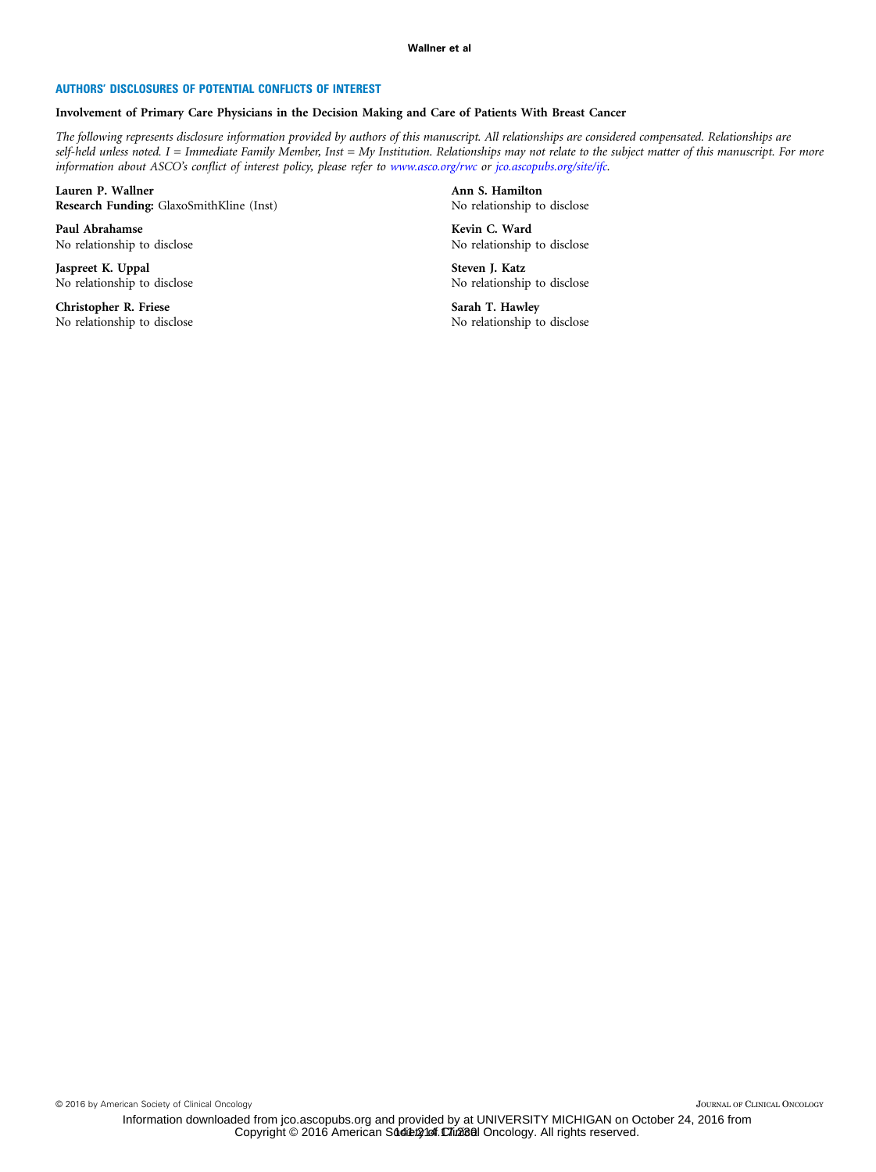### AUTHORS' DISCLOSURES OF POTENTIAL CONFLICTS OF INTEREST

### Involvement of Primary Care Physicians in the Decision Making and Care of Patients With Breast Cancer

The following represents disclosure information provided by authors of this manuscript. All relationships are considered compensated. Relationships are self-held unless noted. I = Immediate Family Member, Inst = My Institution. Relationships may not relate to the subject matter of this manuscript. For more information about ASCO's conflict of interest policy, please refer to [www.asco.org/rwc](http://www.asco.org/rwc) or [jco.ascopubs.org/site/ifc.](http://jco.ascopubs.org/site/ifc)

Lauren P. Wallner Research Funding: GlaxoSmithKline (Inst)

Paul Abrahamse No relationship to disclose

Jaspreet K. Uppal No relationship to disclose

Christopher R. Friese No relationship to disclose Ann S. Hamilton No relationship to disclose

Kevin C. Ward No relationship to disclose

Steven J. Katz No relationship to disclose

Sarah T. Hawley No relationship to disclose